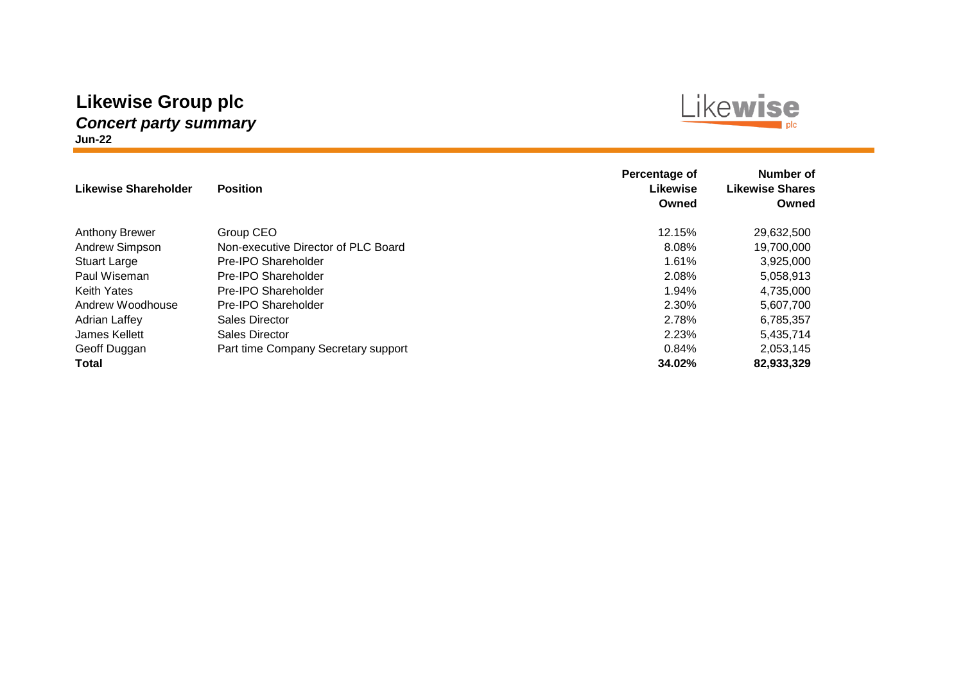#### **Likewise Group plc** *Concert party summary* **Jun-22**

# Likewise

| Likewise Shareholder  | <b>Position</b>                     | Percentage of<br><b>Likewise</b><br>Owned | Number of<br><b>Likewise Shares</b><br>Owned |
|-----------------------|-------------------------------------|-------------------------------------------|----------------------------------------------|
| <b>Anthony Brewer</b> | Group CEO                           | 12.15%                                    | 29,632,500                                   |
| Andrew Simpson        | Non-executive Director of PLC Board | 8.08%                                     | 19,700,000                                   |
| <b>Stuart Large</b>   | Pre-IPO Shareholder                 | 1.61%                                     | 3,925,000                                    |
| Paul Wiseman          | Pre-IPO Shareholder                 | 2.08%                                     | 5,058,913                                    |
| <b>Keith Yates</b>    | Pre-IPO Shareholder                 | 1.94%                                     | 4,735,000                                    |
| Andrew Woodhouse      | Pre-IPO Shareholder                 | 2.30%                                     | 5.607.700                                    |
| <b>Adrian Laffey</b>  | Sales Director                      | 2.78%                                     | 6,785,357                                    |
| James Kellett         | Sales Director                      | 2.23%                                     | 5,435,714                                    |
| Geoff Duggan          | Part time Company Secretary support | 0.84%                                     | 2,053,145                                    |
| <b>Total</b>          |                                     | 34.02%                                    | 82,933,329                                   |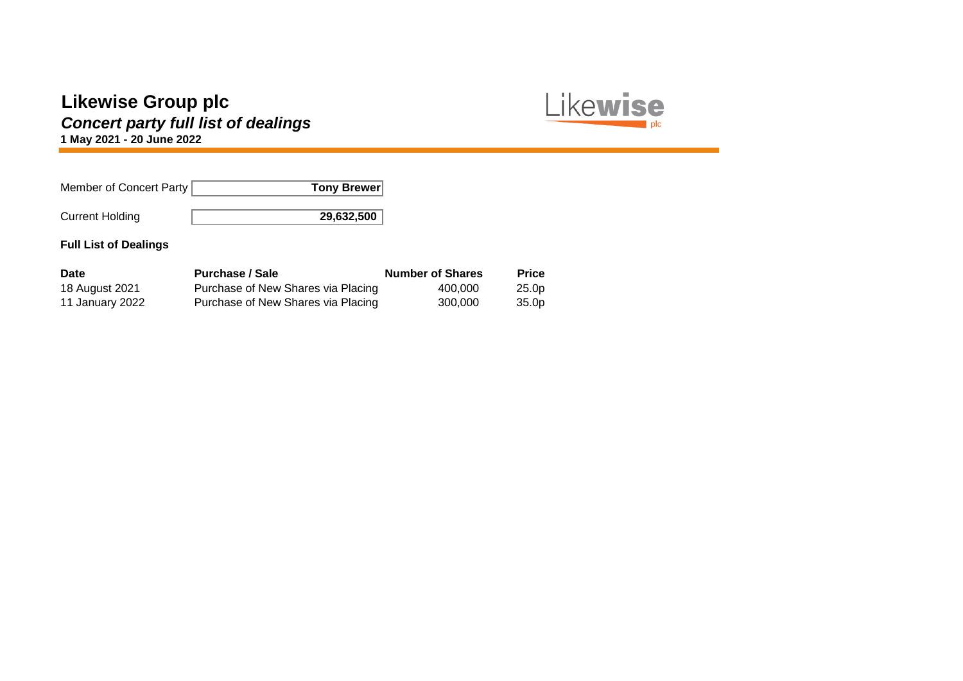# *Concert party full list of dealings*

Likewise plc

**1 May 2021 - 20 June 2022**

| Member of Concert Party | Tony Brewer |
|-------------------------|-------------|
| <b>Current Holding</b>  | 29,632,500  |

| Date            | <b>Purchase / Sale</b>             | <b>Number of Shares</b> | <b>Price</b>      |
|-----------------|------------------------------------|-------------------------|-------------------|
| 18 August 2021  | Purchase of New Shares via Placing | 400.000                 | 25.0 <sub>p</sub> |
| 11 January 2022 | Purchase of New Shares via Placing | 300.000                 | 35.0 <sub>p</sub> |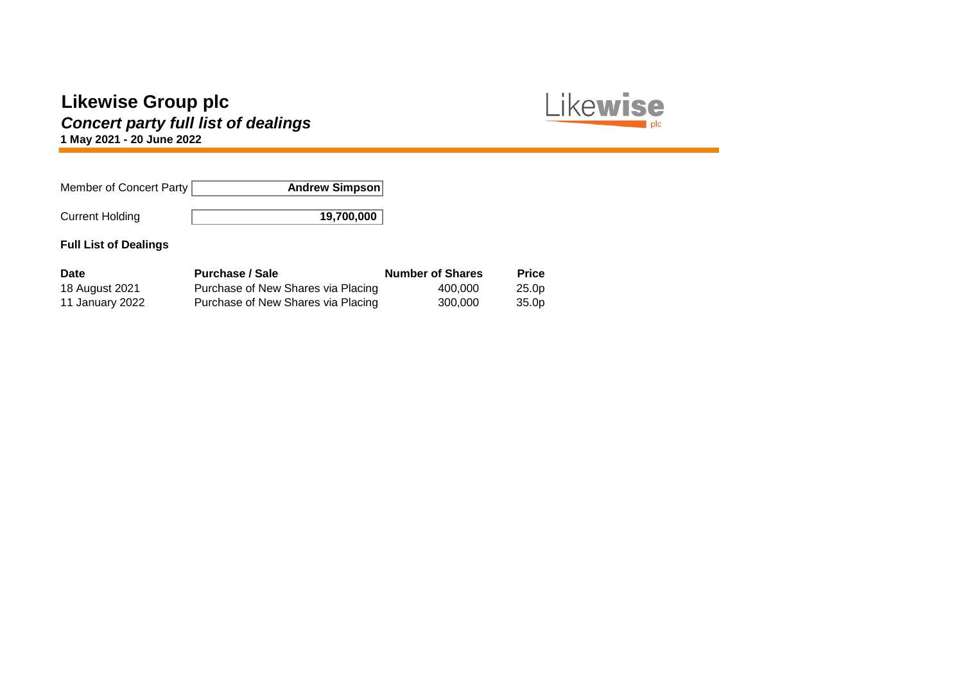# *Concert party full list of dealings*

Likewise plc

**1 May 2021 - 20 June 2022**

| Member of Concert Party | Andrew Simpson |
|-------------------------|----------------|
| <b>Current Holding</b>  | 19,700,000     |

| Date            | <b>Purchase / Sale</b>             | <b>Number of Shares</b> | <b>Price</b>      |
|-----------------|------------------------------------|-------------------------|-------------------|
| 18 August 2021  | Purchase of New Shares via Placing | 400.000                 | 25.0 <sub>p</sub> |
| 11 January 2022 | Purchase of New Shares via Placing | 300.000                 | 35.0 <sub>p</sub> |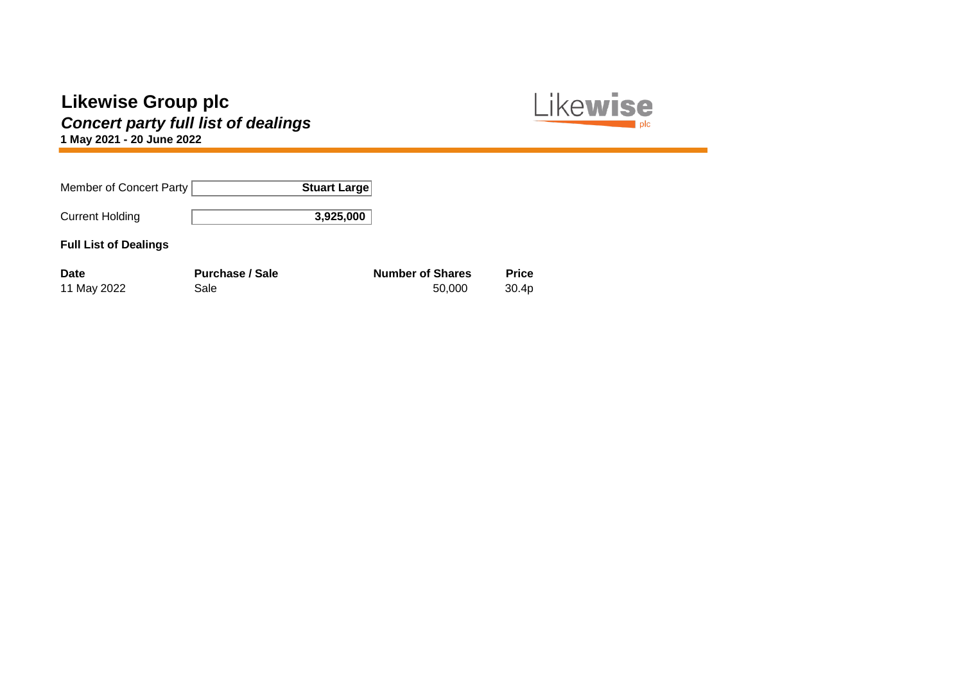*Concert party full list of dealings*



**1 May 2021 - 20 June 2022**

| Member of Concert Party      |                        | <b>Stuart Large</b> |                         |                   |
|------------------------------|------------------------|---------------------|-------------------------|-------------------|
| <b>Current Holding</b>       |                        | 3,925,000           |                         |                   |
| <b>Full List of Dealings</b> |                        |                     |                         |                   |
| <b>Date</b>                  | <b>Purchase / Sale</b> |                     | <b>Number of Shares</b> | <b>Price</b>      |
| 11 May 2022                  | Sale                   |                     | 50,000                  | 30.4 <sub>p</sub> |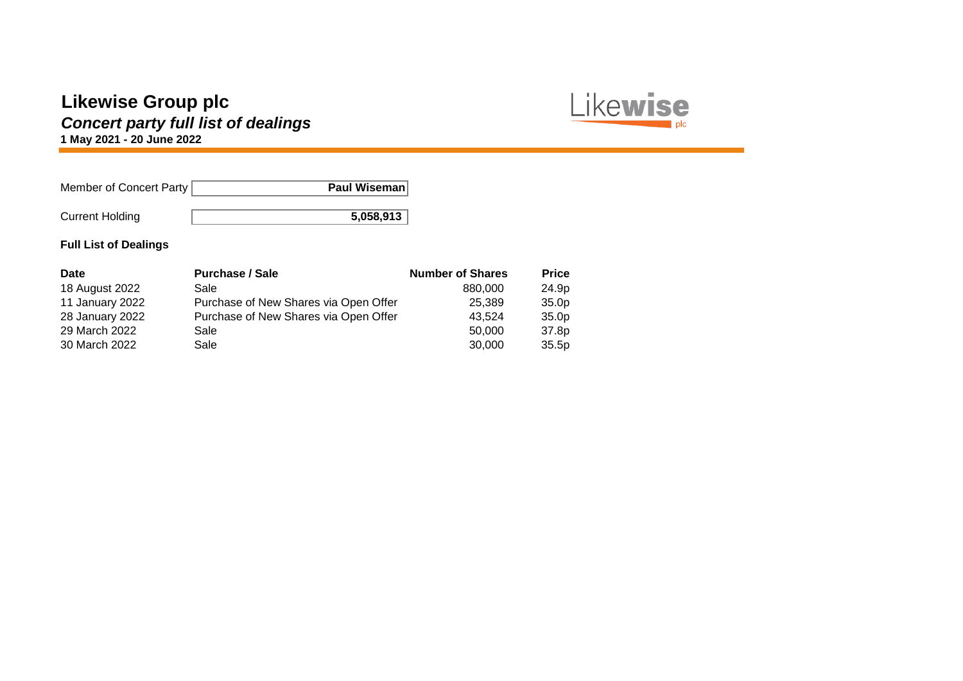# *Concert party full list of dealings*

Likewise plc

**1 May 2021 - 20 June 2022**

| Member of Concert Party | Paul Wiseman |
|-------------------------|--------------|
| <b>Current Holding</b>  | 5,058,913    |

| <b>Date</b>     | <b>Purchase / Sale</b>                | <b>Number of Shares</b> | <b>Price</b>      |
|-----------------|---------------------------------------|-------------------------|-------------------|
| 18 August 2022  | Sale                                  | 880,000                 | 24.9p             |
| 11 January 2022 | Purchase of New Shares via Open Offer | 25,389                  | 35.0 <sub>p</sub> |
| 28 January 2022 | Purchase of New Shares via Open Offer | 43.524                  | 35.0 <sub>p</sub> |
| 29 March 2022   | Sale                                  | 50,000                  | 37.8p             |
| 30 March 2022   | Sale                                  | 30,000                  | 35.5p             |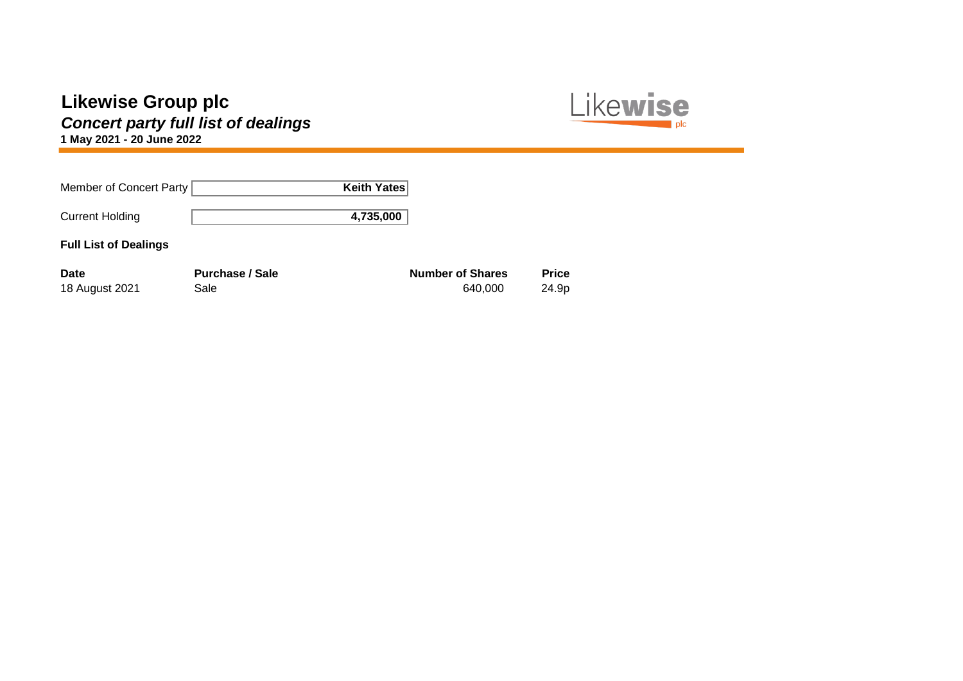# *Concert party full list of dealings*

Likewise plc

**1 May 2021 - 20 June 2022**

| Member of Concert Party       | Keith Yates                    |                                    |                       |
|-------------------------------|--------------------------------|------------------------------------|-----------------------|
| <b>Current Holding</b>        | 4,735,000                      |                                    |                       |
| <b>Full List of Dealings</b>  |                                |                                    |                       |
| <b>Date</b><br>18 August 2021 | <b>Purchase / Sale</b><br>Sale | <b>Number of Shares</b><br>640,000 | <b>Price</b><br>24.9p |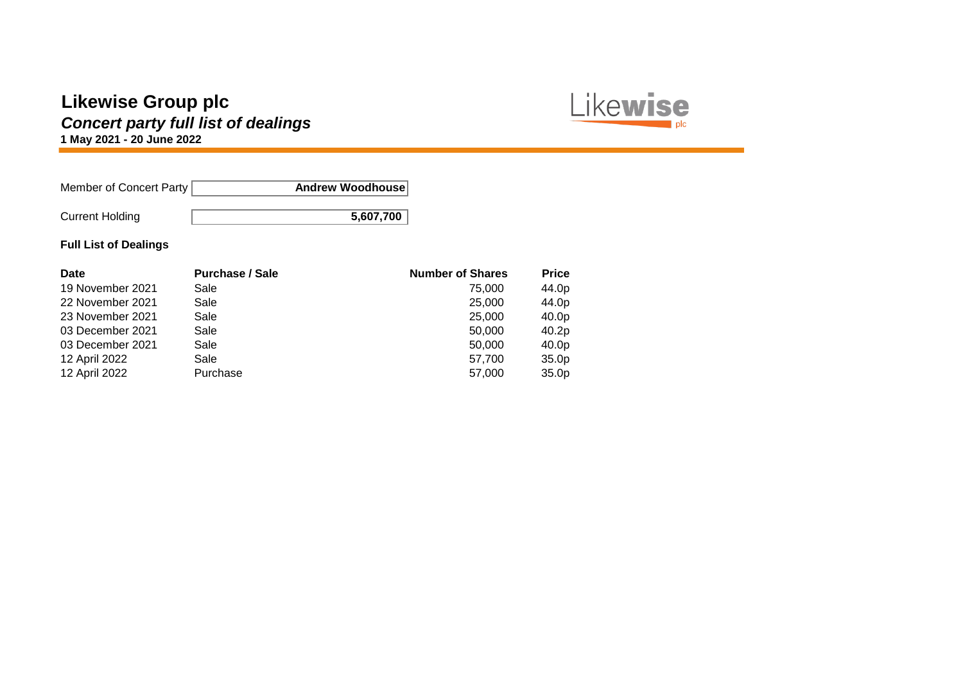# *Concert party full list of dealings*

**1 May 2021 - 20 June 2022**

| Member of Concert Party | Andrew Woodhouse |
|-------------------------|------------------|
| <b>Current Holding</b>  | 5,607,700        |

#### **Full List of Dealings**

| Date             | <b>Purchase / Sale</b> | <b>Number of Shares</b> | <b>Price</b> |
|------------------|------------------------|-------------------------|--------------|
| 19 November 2021 | Sale                   | 75.000                  | 44.0p        |
| 22 November 2021 | Sale                   | 25,000                  | 44.0p        |
| 23 November 2021 | Sale                   | 25,000                  | 40.0p        |
| 03 December 2021 | Sale                   | 50,000                  | 40.2p        |
| 03 December 2021 | Sale                   | 50,000                  | 40.0p        |
| 12 April 2022    | Sale                   | 57,700                  | 35.0p        |
| 12 April 2022    | Purchase               | 57,000                  | 35.0p        |

Likewise

plc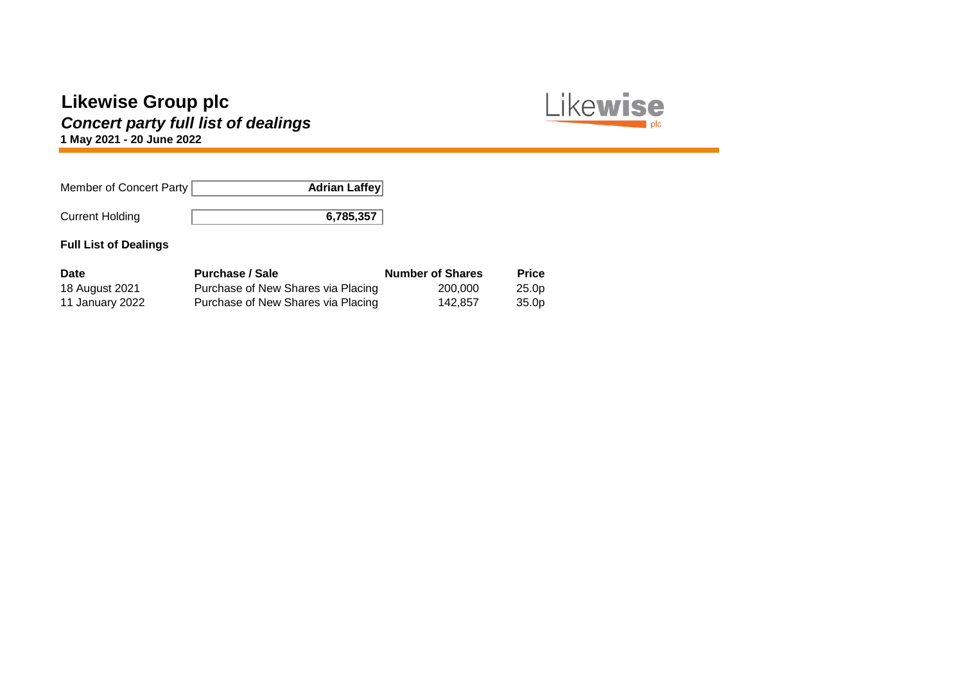# *Concert party full list of dealings*

**1 May 2021 - 20 June 2022**

| Member of Concert Party | <b>Adrian Laffey</b> |
|-------------------------|----------------------|
| <b>Current Holding</b>  | 6,785,357            |

#### **Full List of Dealings**

| <b>Date</b>     | <b>Purchase / Sale</b>             | <b>Number of Shares</b> | <b>Price</b>      |
|-----------------|------------------------------------|-------------------------|-------------------|
| 18 August 2021  | Purchase of New Shares via Placing | 200.000                 | 25.0 <sub>p</sub> |
| 11 January 2022 | Purchase of New Shares via Placing | 142.857                 | 35.0 <sub>p</sub> |

Likewise

plc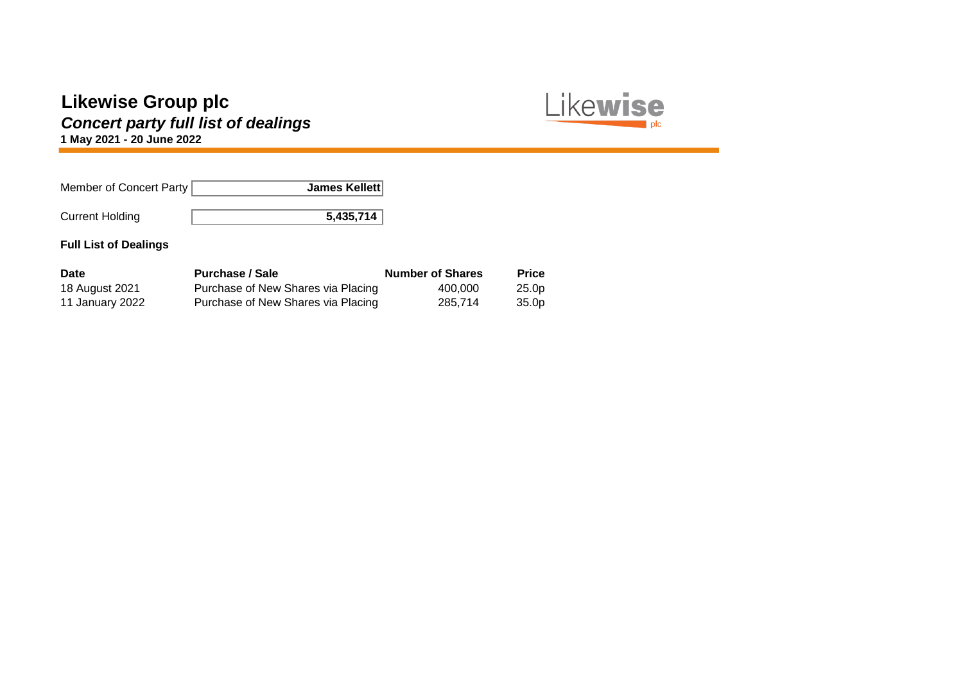# *Concert party full list of dealings*

**1 May 2021 - 20 June 2022**

| Member of Concert Party | James Kellett |
|-------------------------|---------------|
| <b>Current Holding</b>  | 5,435,714     |

#### **Full List of Dealings**

| <b>Date</b>     | <b>Purchase / Sale</b>             | <b>Number of Shares</b> | <b>Price</b>      |
|-----------------|------------------------------------|-------------------------|-------------------|
| 18 August 2021  | Purchase of New Shares via Placing | 400.000                 | 25.0 <sub>p</sub> |
| 11 January 2022 | Purchase of New Shares via Placing | 285.714                 | 35.0p             |

Likewise

plc